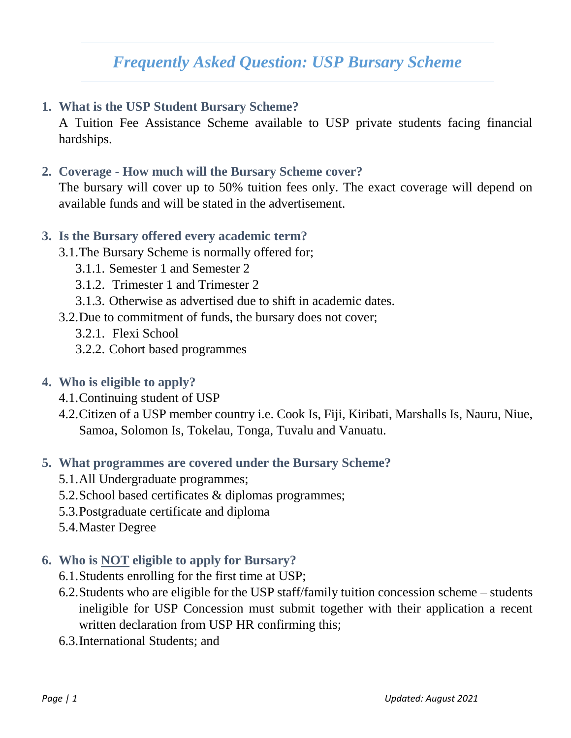# *Frequently Asked Question: USP Bursary Scheme*

**1. What is the USP Student Bursary Scheme?**

A Tuition Fee Assistance Scheme available to USP private students facing financial hardships.

**2. Coverage - How much will the Bursary Scheme cover?** 

The bursary will cover up to 50% tuition fees only. The exact coverage will depend on available funds and will be stated in the advertisement.

### **3. Is the Bursary offered every academic term?**

- 3.1.The Bursary Scheme is normally offered for;
	- 3.1.1. Semester 1 and Semester 2
	- 3.1.2. Trimester 1 and Trimester 2
	- 3.1.3. Otherwise as advertised due to shift in academic dates.
- 3.2.Due to commitment of funds, the bursary does not cover;
	- 3.2.1. Flexi School
	- 3.2.2. Cohort based programmes
- **4. Who is eligible to apply?**
	- 4.1.Continuing student of USP
	- 4.2.Citizen of a USP member country i.e. Cook Is, Fiji, Kiribati, Marshalls Is, Nauru, Niue, Samoa, Solomon Is, Tokelau, Tonga, Tuvalu and Vanuatu.

### **5. What programmes are covered under the Bursary Scheme?**

- 5.1.All Undergraduate programmes;
- 5.2.School based certificates & diplomas programmes;
- 5.3.Postgraduate certificate and diploma
- 5.4.Master Degree
- **6. Who is NOT eligible to apply for Bursary?**
	- 6.1.Students enrolling for the first time at USP;
	- 6.2.Students who are eligible for the USP staff/family tuition concession scheme students ineligible for USP Concession must submit together with their application a recent written declaration from USP HR confirming this;
	- 6.3.International Students; and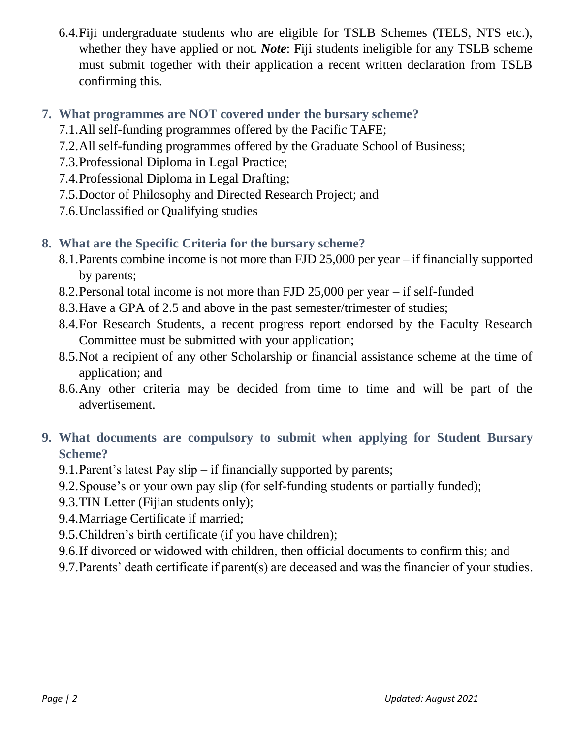6.4.Fiji undergraduate students who are eligible for TSLB Schemes (TELS, NTS etc.), whether they have applied or not. *Note*: Fiji students ineligible for any TSLB scheme must submit together with their application a recent written declaration from TSLB confirming this.

# **7. What programmes are NOT covered under the bursary scheme?**

- 7.1.All self-funding programmes offered by the Pacific TAFE;
- 7.2.All self-funding programmes offered by the Graduate School of Business;
- 7.3.Professional Diploma in Legal Practice;
- 7.4.Professional Diploma in Legal Drafting;
- 7.5.Doctor of Philosophy and Directed Research Project; and
- 7.6.Unclassified or Qualifying studies

# **8. What are the Specific Criteria for the bursary scheme?**

- 8.1.Parents combine income is not more than FJD 25,000 per year if financially supported by parents;
- 8.2.Personal total income is not more than FJD 25,000 per year if self-funded
- 8.3.Have a GPA of 2.5 and above in the past semester/trimester of studies;
- 8.4.For Research Students, a recent progress report endorsed by the Faculty Research Committee must be submitted with your application;
- 8.5.Not a recipient of any other Scholarship or financial assistance scheme at the time of application; and
- 8.6.Any other criteria may be decided from time to time and will be part of the advertisement.

# **9. What documents are compulsory to submit when applying for Student Bursary Scheme?**

- 9.1.Parent's latest Pay slip if financially supported by parents;
- 9.2.Spouse's or your own pay slip (for self-funding students or partially funded);
- 9.3.TIN Letter (Fijian students only);
- 9.4.Marriage Certificate if married;
- 9.5.Children's birth certificate (if you have children);
- 9.6.If divorced or widowed with children, then official documents to confirm this; and
- 9.7.Parents' death certificate if parent(s) are deceased and was the financier of your studies.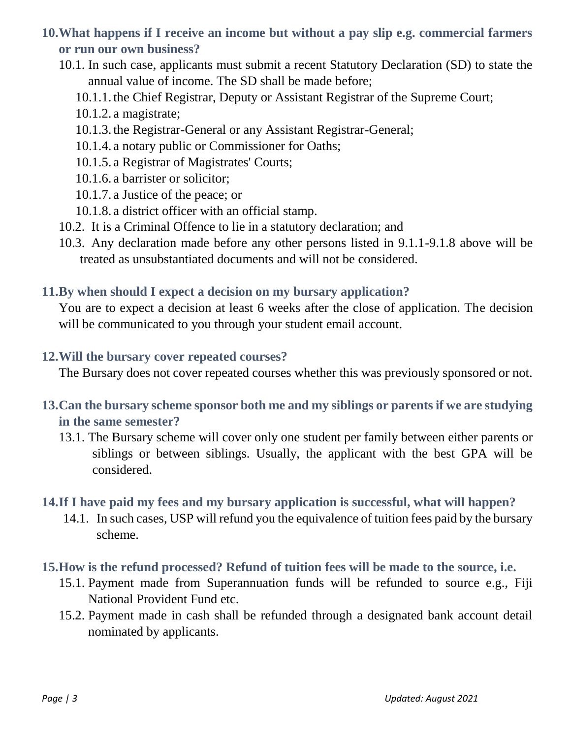# **10.What happens if I receive an income but without a pay slip e.g. commercial farmers or run our own business?**

- 10.1. In such case, applicants must submit a recent Statutory Declaration (SD) to state the annual value of income. The SD shall be made before;
	- 10.1.1. the Chief Registrar, Deputy or Assistant Registrar of the Supreme Court;
	- 10.1.2. a magistrate;
	- 10.1.3. the Registrar-General or any Assistant Registrar-General;
	- 10.1.4. a notary public or Commissioner for Oaths;
	- 10.1.5. a Registrar of Magistrates' Courts;
	- 10.1.6. a barrister or solicitor;
	- 10.1.7. a Justice of the peace; or
	- 10.1.8. a district officer with an official stamp.
- 10.2. It is a Criminal Offence to lie in a statutory declaration; and
- 10.3. Any declaration made before any other persons listed in 9.1.1-9.1.8 above will be treated as unsubstantiated documents and will not be considered.

### **11.By when should I expect a decision on my bursary application?**

You are to expect a decision at least 6 weeks after the close of application. The decision will be communicated to you through your student email account.

#### **12.Will the bursary cover repeated courses?**

The Bursary does not cover repeated courses whether this was previously sponsored or not.

- **13.Can the bursary scheme sponsor both me and my siblings or parents if we are studying in the same semester?**
	- 13.1. The Bursary scheme will cover only one student per family between either parents or siblings or between siblings. Usually, the applicant with the best GPA will be considered.
- **14.If I have paid my fees and my bursary application is successful, what will happen?**
	- 14.1. In such cases, USP will refund you the equivalence of tuition fees paid by the bursary scheme.
- **15.How is the refund processed? Refund of tuition fees will be made to the source, i.e.** 
	- 15.1. Payment made from Superannuation funds will be refunded to source e.g., Fiji National Provident Fund etc.
	- 15.2. Payment made in cash shall be refunded through a designated bank account detail nominated by applicants.